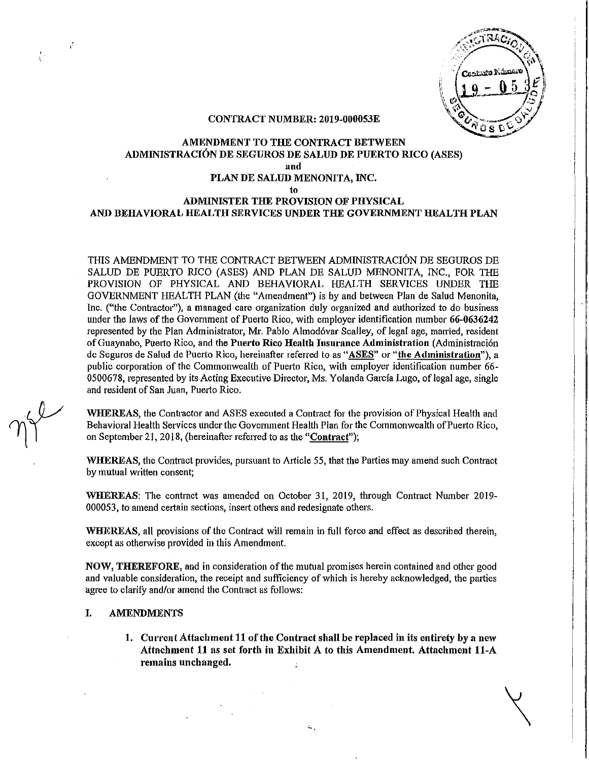$\alpha$ os d

#### CONTRACT NUMBER: 2019-000053E

# AMENDMENT TO THE CONTRACT BETWEEN ADMINISTRACION DE SEGUROS DE SALUD DE PUERTO RICO (ASES) and PLAN DE SALUD MENONITA, INC. to

# ADMINISTER THE PROVISION OF PHYSICAL AND BEHAVIORAL HEALTH SERVICES UNDER THE GOVERNMENT HEALTH PLAN

TillS AMENDMENT TO THE CONTRACT BETWEEN ADMINISTRACION DE SEGUROS DE SALUD DE PUERTO RICO (ASES) AND PLAN DE SALUD MENONITA, INC., FOR THE PROVISION OF PHYSICAL AND BEHAVIORAL HEALTH SERVICES UNDER THE GOVERNMENT HEALTH PLAN (the "Amendment") is by and between Plan de Salud Menonita, Inc. ("the Contractor"), a managed care organization duly organized and authorized to do business under the laws of the Government of Puerto Rico, with employer identification number 66-0636242 represented by the Plan Administrator, Mr. Pablo Almod6var Scalley, of legal age, married, resident of Guaynabo, Puerto Rico, and the Puerto Rico Health Insurance Administration (Administración de Seguros de Salud de Puerto Rico, hereinafter referred to as "ASES" or "the Administration"), a public corporation of the Commonwealth of Puerto Rico, with employer identification number 66- 0500678, represented by its Acting Executive Director, Ms. Yolanda García Lugo, of legal age, single and resident of San Juan, Puerto Rico.

WHEREAS, the Contractor and ASES executed a Contract for the provision of Physical Health and Behavioral Health Services under the Government Health Plan for the Commonwealth of Puerto Rico, on September 21, 2018, (hereinafter referred to as the "Contract");

WHEREAS, the Contract provides, pursuant to Article 55, that the Parties may amend such Contract by mutual written consent;

WHEREAS: The contract was amended on October 31, 2019, through Contract Number 2019- 000053, to amend certain sections, insert others and redesignate others.

WHEREAS, all provisions of the Contract will remain in full force and effect as described therein, except as otherwise provided in this Amendment.

NOW, THEREFORE, and in consideration ofthe muhml promises herein contained and other good and valuable consideration, the receipt and sufficiency of which is hereby acknowledged, the patties agree to clarify and/or amend the Contract as follows:

#### I. AMENDMENTS

1. Current Attachment 11 of the Contract shall be replaced in its entirety by a new Attachment 11 as set forth in Exhibit A to this Amendment. Attachment 11-A remains unchanged.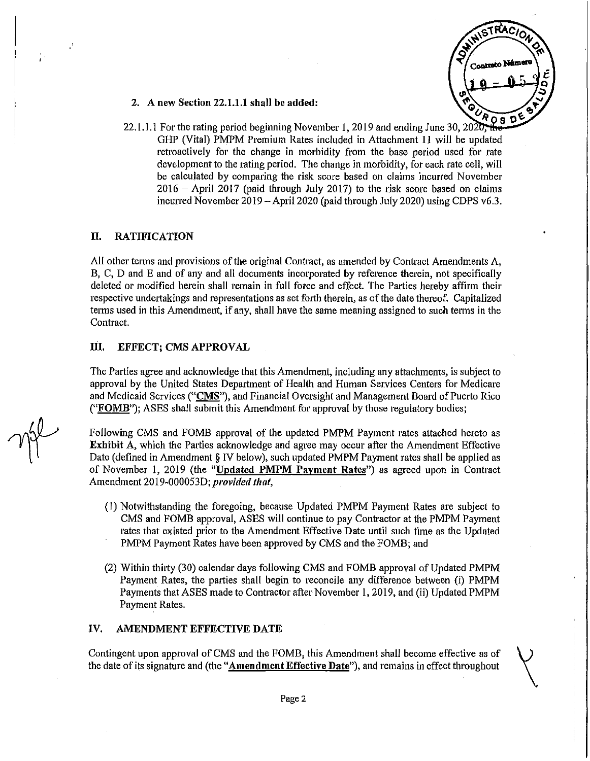

- 2. A new Section 22.1.1.1 shall be added:
- 22.1.1.1 For the rating period beginning November 1, 2019 and ending June 30, 2020; GHP (Vital) PMPM Premium Rates included in Attachment 11 will be updated retroactively for the change in morbidity from the base period used for rate development to the rating period. The change in morbidity, for each rate cell, will be calculated by comparing the risk score based on claims incurred November 2016 - April 2017 (paid through July 2017) to the risk score based on claims incurred November  $2019 -$ April 2020 (paid through July 2020) using CDPS v6.3.

# II. RATIFICATION

All other terms and provisions of the original Contract, as amended by Contract Amendments  $A$ , B, C, 0 and E and of any and all documents incorporated by reference therein, not specifically deleted or modified herein shall remain in full force and effect. The Patties hereby affirm their respective undertakings and representations as set forth therein, as of the date thereof. Capitalized terms used in this Amendment, if any, shall have the same meaning assigned to such terms in the Contract.

### III. EFFECT; CMS APPROVAL

The Parties agree and acknowledge that this Amendment, including any attachments, is subject to approval by the United States Department of Health and Human Services Centers for Medicare and Medicaid Services ("CMS"), and Financial Oversight and Management Board of Puerto Rico (" $FOMB$ "); ASES shall submit this Amendment for approval by those regulatory bodies;

Following CMS and FOMB approval of the updated PMPM Payment rates attached hereto as Exhibit A, which the Parties acknowledge and agree may occur after the Amendment Effective Date (defined in Amendment § IV below), such updated PMPM Payment rates shall be applied as of November I, 2019 (the "Updated PMPM Payment Rates") as agreed upon in Contract Amendment 2019-000053D; *provided that*,

- (1) Notwithstanding the foregoing, because Updated PMPM Payment Rates are subject to CMS and FOMB approval, ASES will continue to pay Contractor at the PMPM Payment rates that existed prior to the Amendment Effective Date until such time as the Updated PMPM Payment Rates have been approved by CMS and the FOMB; and
- (2) Within thhty (30) calendar days following CMS and FOMB approval of Updated PMPM Payment Rates, the patties shall begin to reconcile any difference between (i) PMPM Payments that ASES made to Contractor after November 1,2019, and (ii) Updated PMPM Payment Rates.

### IV. AMENDMENT EFFECTIVE DATE

Contingent upon approval of CMS and the FOMB, this Amendment shall become effective as of the date of its signature and (the "Amendment Effective Date"), and remains in effect throughout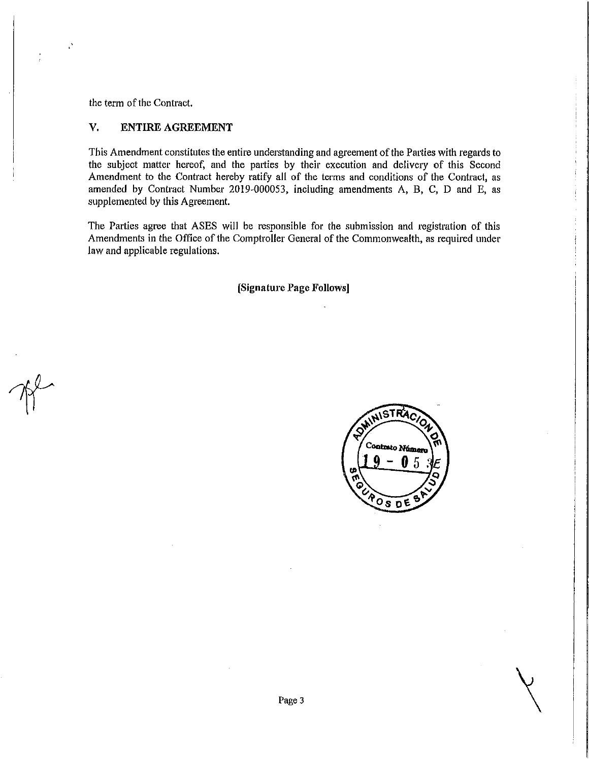the term of the Contract.

 $\mathcal{L}$ 

# V. ENTIRE AGREEMENT

This Amendment constitutes the entire understanding and agreement of the Parties with regards to the subject matter hereof, and the parties by their execution and delivery of this Second Amendment to the Contract hereby ratify all of the terms and conditions of the Contract, as amended by Contract Number 2019-000053, including amendments A, B, C, D and E, as supplemented by this Agreement.

The Parties agree that ASES will be responsible for the submission and registration of this Amendments in the Office of the Comptroller General of the Commonwealth, as required under law and applicable regulations.

[Signature Page Follows]

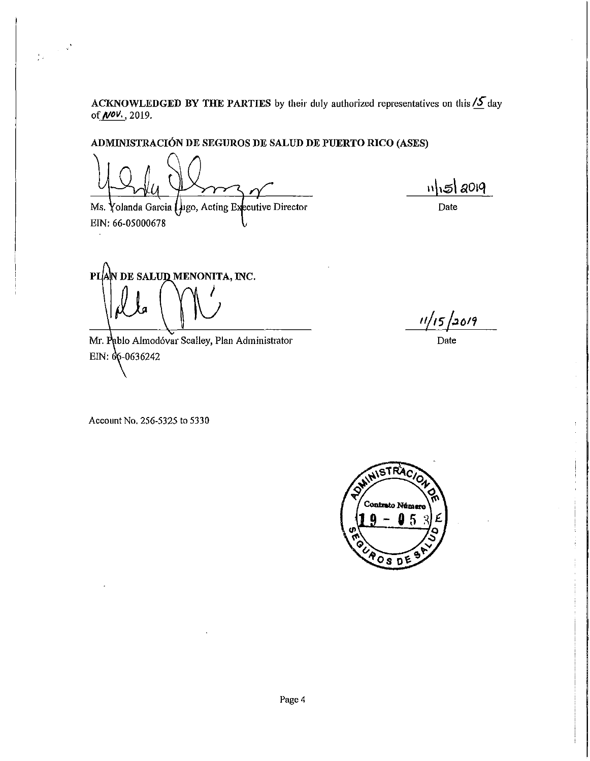**ACKNOWLEDGED BY THE PARTIES by their** duly authorized representatives on this *IS-* day of *NOV.* ,2019.

**ADMINISTRACI6N DE SEGUROS DE SALUD DE PUERTO RICO (ASES)**

 $\frac{1}{2}\sqrt{\frac{1}{\pi}}\left(\frac{\sqrt{2}}{2}\right)^{\frac{1}{2}}$ 

Ms. Yolanda Garcia (Jugo, Acting Executive Director EIN: 66-05000678

 $n|$  $5|$  2019

Date

PL|A|N DE SALUQ MENONITA, INC. I

Mr. Pablo Almodóvar Scalley, Plan Administrator EIN:  $66 - 0636242$ 

 $11/15/20/9$ 

Date

Account No. 256-5325 to 5330

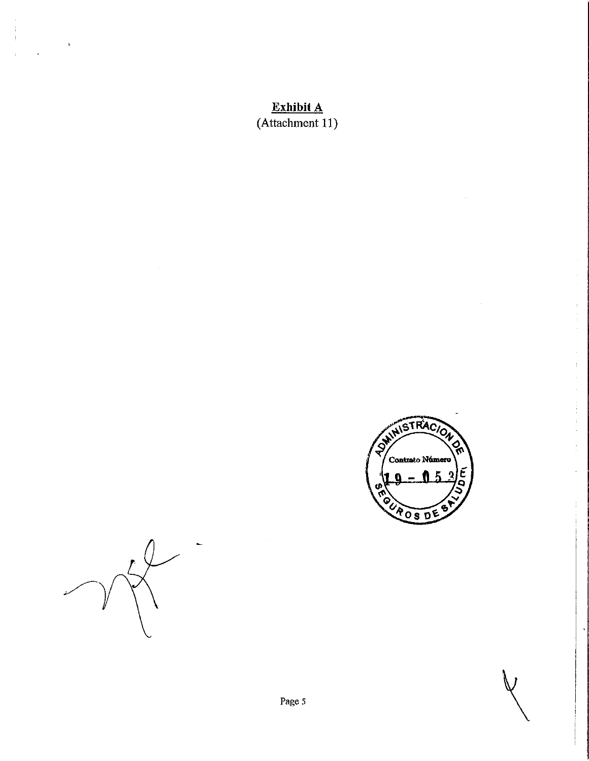# **Exhibit A** (Attachment 11)



 $\vee$ 

Ŷ,  $\begin{array}{c} 1 \\ 1 \\ 1 \\ 1 \end{array}$ 

 $\mathbb{F}_q$ 

 $\frac{1}{2}$ 

 $\ddot{\phantom{a}}$ 



 $\frac{1}{1}$ 

 $\ddot{\phantom{0}}$ 

 $\mathfrak{p}% _{T}=\mathfrak{p}_{T} \text{, }T_{T}=\mathfrak{p}_{T} \text{, }T_{T}=\mathfrak{p}_{T} \text{, }T_{T}=\mathfrak{p}_{T} \text{, }T_{T}=\mathfrak{p}_{T} \text{, }T_{T}=\mathfrak{p}_{T} \text{, }T_{T}=\mathfrak{p}_{T} \text{, }T_{T}=\mathfrak{p}_{T} \text{, }T_{T}=\mathfrak{p}_{T} \text{, }T_{T}=\mathfrak{p}_{T} \text{, }T_{T}=\mathfrak{p}_{T} \text{, }T_{T}=\mathfrak{p}_{T} \text$